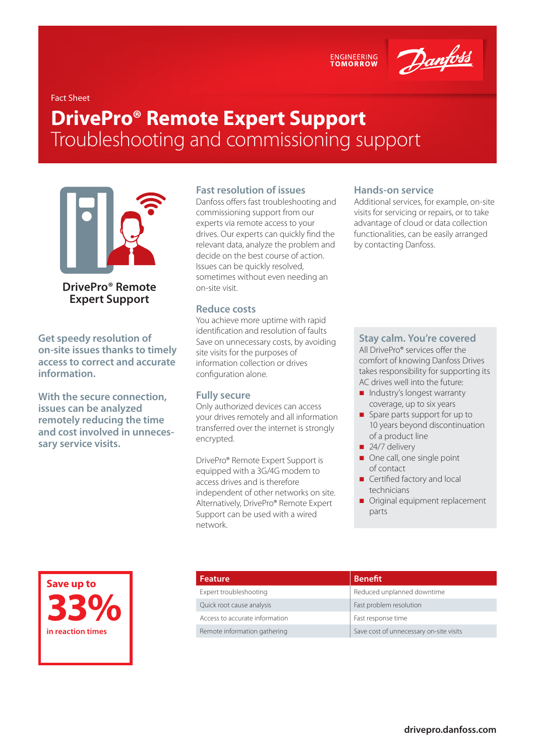ENGINEERING<br>TOMORROW

Danfoss

Fact Sheet

# **DrivePro® Remote Expert Support**  Troubleshooting and commissioning support



**DrivePro® Remote Expert Support**

**Get speedy resolution of on-site issues thanks to timely access to correct and accurate information.**

**With the secure connection, issues can be analyzed remotely reducing the time and cost involved in unnecessary service visits.**

#### **Fast resolution of issues**

Danfoss offers fast troubleshooting and commissioning support from our experts via remote access to your drives. Our experts can quickly find the relevant data, analyze the problem and decide on the best course of action. Issues can be quickly resolved, sometimes without even needing an on-site visit.

#### **Reduce costs**

You achieve more uptime with rapid identification and resolution of faults Save on unnecessary costs, by avoiding site visits for the purposes of information collection or drives configuration alone.

#### **Fully secure**

Only authorized devices can access your drives remotely and all information transferred over the internet is strongly encrypted.

DrivePro® Remote Expert Support is equipped with a 3G/4G modem to access drives and is therefore independent of other networks on site. Alternatively, DrivePro® Remote Expert Support can be used with a wired network.

#### **Hands-on service**

Additional services, for example, on-site visits for servicing or repairs, or to take advantage of cloud or data collection functionalities, can be easily arranged by contacting Danfoss.

#### **Stay calm. You're covered**

All DrivePro® services offer the comfort of knowing Danfoss Drives takes responsibility for supporting its AC drives well into the future:

- Industry's longest warranty coverage, up to six years
- **Spare parts support for up to** 10 years beyond discontinuation of a product line
- $\blacksquare$  24/7 delivery
- $\Box$  One call, one single point of contact
- Certified factory and local technicians
- **Original equipment replacement** parts

**Save up to 33% in reaction times**

| <b>Benefit</b>                          |
|-----------------------------------------|
| Reduced unplanned downtime              |
| Fast problem resolution                 |
| Fast response time                      |
| Save cost of unnecessary on-site visits |
|                                         |